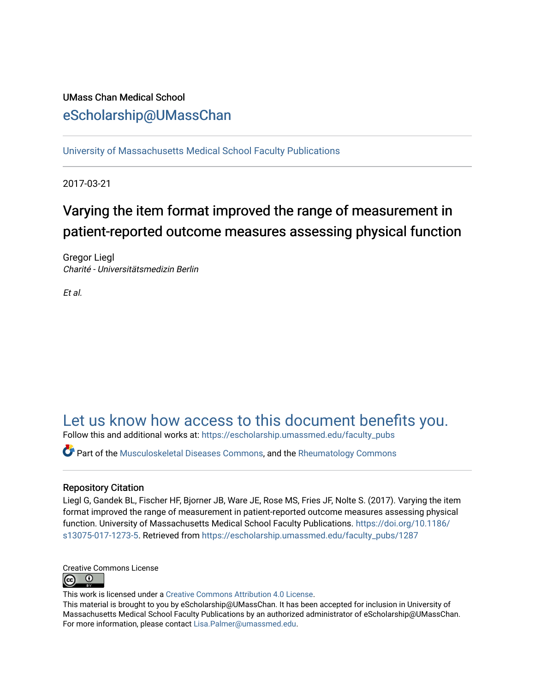## UMass Chan Medical School [eScholarship@UMassChan](https://escholarship.umassmed.edu/)

[University of Massachusetts Medical School Faculty Publications](https://escholarship.umassmed.edu/faculty_pubs)

2017-03-21

# Varying the item format improved the range of measurement in patient-reported outcome measures assessing physical function

Gregor Liegl Charité - Universitätsmedizin Berlin

Et al.

## [Let us know how access to this document benefits you.](https://arcsapps.umassmed.edu/redcap/surveys/?s=XWRHNF9EJE)

Follow this and additional works at: [https://escholarship.umassmed.edu/faculty\\_pubs](https://escholarship.umassmed.edu/faculty_pubs?utm_source=escholarship.umassmed.edu%2Ffaculty_pubs%2F1287&utm_medium=PDF&utm_campaign=PDFCoverPages) 

**C** Part of the [Musculoskeletal Diseases Commons](http://network.bepress.com/hgg/discipline/996?utm_source=escholarship.umassmed.edu%2Ffaculty_pubs%2F1287&utm_medium=PDF&utm_campaign=PDFCoverPages), and the Rheumatology Commons

## Repository Citation

Liegl G, Gandek BL, Fischer HF, Bjorner JB, Ware JE, Rose MS, Fries JF, Nolte S. (2017). Varying the item format improved the range of measurement in patient-reported outcome measures assessing physical function. University of Massachusetts Medical School Faculty Publications. [https://doi.org/10.1186/](https://doi.org/10.1186/s13075-017-1273-5) [s13075-017-1273-5](https://doi.org/10.1186/s13075-017-1273-5). Retrieved from [https://escholarship.umassmed.edu/faculty\\_pubs/1287](https://escholarship.umassmed.edu/faculty_pubs/1287?utm_source=escholarship.umassmed.edu%2Ffaculty_pubs%2F1287&utm_medium=PDF&utm_campaign=PDFCoverPages) 



This work is licensed under a [Creative Commons Attribution 4.0 License](http://creativecommons.org/licenses/by/4.0/).

This material is brought to you by eScholarship@UMassChan. It has been accepted for inclusion in University of Massachusetts Medical School Faculty Publications by an authorized administrator of eScholarship@UMassChan. For more information, please contact [Lisa.Palmer@umassmed.edu](mailto:Lisa.Palmer@umassmed.edu).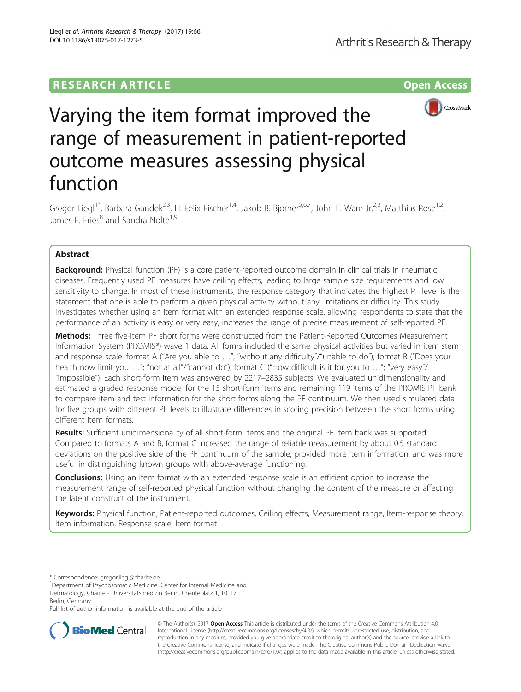## **RESEARCH ARTICLE Example 2014 CONSUMING A RESEARCH ARTICLE**



# Varying the item format improved the range of measurement in patient-reported outcome measures assessing physical function

Gregor Liegl<sup>1\*</sup>, Barbara Gandek<sup>2,3</sup>, H. Felix Fischer<sup>1,4</sup>, Jakob B. Bjorner<sup>5,6,7</sup>, John E. Ware Jr.<sup>2,3</sup>, Matthias Rose<sup>1,2</sup>, James F. Fries<sup>8</sup> and Sandra Nolte<sup>1,9</sup>

## Abstract

**Background:** Physical function (PF) is a core patient-reported outcome domain in clinical trials in rheumatic diseases. Frequently used PF measures have ceiling effects, leading to large sample size requirements and low sensitivity to change. In most of these instruments, the response category that indicates the highest PF level is the statement that one is able to perform a given physical activity without any limitations or difficulty. This study investigates whether using an item format with an extended response scale, allowing respondents to state that the performance of an activity is easy or very easy, increases the range of precise measurement of self-reported PF.

Methods: Three five-item PF short forms were constructed from the Patient-Reported Outcomes Measurement Information System (PROMIS®) wave 1 data. All forms included the same physical activities but varied in item stem and response scale: format A ("Are you able to …"; "without any difficulty"/"unable to do"); format B ("Does your health now limit you …"; "not at all"/"cannot do"); format C ("How difficult is it for you to …"; "very easy"/ "impossible"). Each short-form item was answered by 2217–2835 subjects. We evaluated unidimensionality and estimated a graded response model for the 15 short-form items and remaining 119 items of the PROMIS PF bank to compare item and test information for the short forms along the PF continuum. We then used simulated data for five groups with different PF levels to illustrate differences in scoring precision between the short forms using different item formats.

Results: Sufficient unidimensionality of all short-form items and the original PF item bank was supported. Compared to formats A and B, format C increased the range of reliable measurement by about 0.5 standard deviations on the positive side of the PF continuum of the sample, provided more item information, and was more useful in distinguishing known groups with above-average functioning.

**Conclusions:** Using an item format with an extended response scale is an efficient option to increase the measurement range of self-reported physical function without changing the content of the measure or affecting the latent construct of the instrument.

Keywords: Physical function, Patient-reported outcomes, Ceiling effects, Measurement range, Item-response theory, Item information, Response scale, Item format

Full list of author information is available at the end of the article



© The Author(s). 2017 **Open Access** This article is distributed under the terms of the Creative Commons Attribution 4.0 International License [\(http://creativecommons.org/licenses/by/4.0/](http://creativecommons.org/licenses/by/4.0/)), which permits unrestricted use, distribution, and reproduction in any medium, provided you give appropriate credit to the original author(s) and the source, provide a link to the Creative Commons license, and indicate if changes were made. The Creative Commons Public Domain Dedication waiver [\(http://creativecommons.org/publicdomain/zero/1.0/](http://creativecommons.org/publicdomain/zero/1.0/)) applies to the data made available in this article, unless otherwise stated.

<sup>\*</sup> Correspondence: [gregor.liegl@charite.de](mailto:gregor.liegl@charite.de) <sup>1</sup>

<sup>&</sup>lt;sup>1</sup>Department of Psychosomatic Medicine, Center for Internal Medicine and Dermatology, Charité - Universitätsmedizin Berlin, Charitéplatz 1, 10117 Berlin, Germany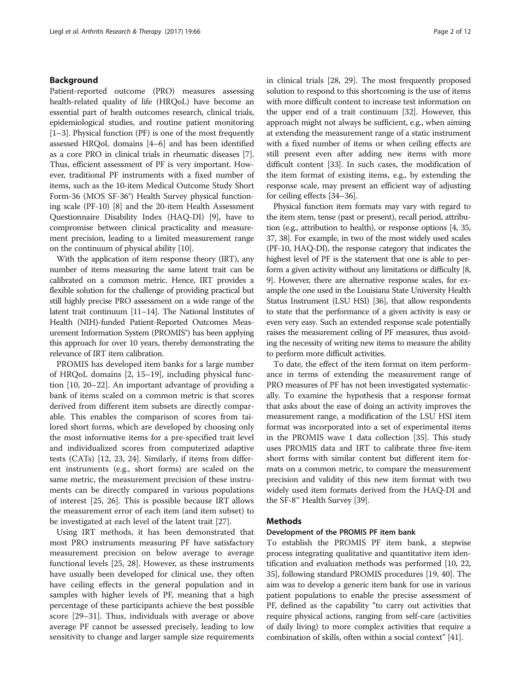#### Background

Patient-reported outcome (PRO) measures assessing health-related quality of life (HRQoL) have become an essential part of health outcomes research, clinical trials, epidemiological studies, and routine patient monitoring [[1](#page-11-0)–[3](#page-11-0)]. Physical function (PF) is one of the most frequently assessed HRQoL domains [[4](#page-11-0)–[6](#page-11-0)] and has been identified as a core PRO in clinical trials in rheumatic diseases [[7](#page-11-0)]. Thus, efficient assessment of PF is very important. However, traditional PF instruments with a fixed number of items, such as the 10-item Medical Outcome Study Short Form-36 (MOS SF-36®) Health Survey physical functioning scale (PF-10) [\[8\]](#page-11-0) and the 20-item Health Assessment Questionnaire Disability Index (HAQ-DI) [\[9](#page-11-0)], have to compromise between clinical practicality and measurement precision, leading to a limited measurement range on the continuum of physical ability [[10](#page-11-0)].

With the application of item response theory (IRT), any number of items measuring the same latent trait can be calibrated on a common metric. Hence, IRT provides a flexible solution for the challenge of providing practical but still highly precise PRO assessment on a wide range of the latent trait continuum [\[11](#page-11-0)–[14](#page-11-0)]. The National Institutes of Health (NIH)-funded Patient-Reported Outcomes Measurement Information System (PROMIS®) has been applying this approach for over 10 years, thereby demonstrating the relevance of IRT item calibration.

PROMIS has developed item banks for a large number of HRQoL domains [[2](#page-11-0), [15](#page-11-0)–[19\]](#page-11-0), including physical function [\[10](#page-11-0), [20](#page-11-0)–[22](#page-11-0)]. An important advantage of providing a bank of items scaled on a common metric is that scores derived from different item subsets are directly comparable. This enables the comparison of scores from tailored short forms, which are developed by choosing only the most informative items for a pre-specified trait level and individualized scores from computerized adaptive tests (CATs) [[12,](#page-11-0) [23](#page-12-0), [24](#page-12-0)]. Similarly, if items from different instruments (e.g., short forms) are scaled on the same metric, the measurement precision of these instruments can be directly compared in various populations of interest [\[25](#page-12-0), [26](#page-12-0)]. This is possible because IRT allows the measurement error of each item (and item subset) to be investigated at each level of the latent trait [[27](#page-12-0)].

Using IRT methods, it has been demonstrated that most PRO instruments measuring PF have satisfactory measurement precision on below average to average functional levels [\[25, 28](#page-12-0)]. However, as these instruments have usually been developed for clinical use, they often have ceiling effects in the general population and in samples with higher levels of PF, meaning that a high percentage of these participants achieve the best possible score [[29](#page-12-0)–[31](#page-12-0)]. Thus, individuals with average or above average PF cannot be assessed precisely, leading to low sensitivity to change and larger sample size requirements in clinical trials [[28](#page-12-0), [29\]](#page-12-0). The most frequently proposed solution to respond to this shortcoming is the use of items with more difficult content to increase test information on the upper end of a trait continuum [[32\]](#page-12-0). However, this approach might not always be sufficient, e.g., when aiming at extending the measurement range of a static instrument with a fixed number of items or when ceiling effects are still present even after adding new items with more difficult content [[33](#page-12-0)]. In such cases, the modification of the item format of existing items, e.g., by extending the response scale, may present an efficient way of adjusting for ceiling effects [[34](#page-12-0)–[36\]](#page-12-0).

Physical function item formats may vary with regard to the item stem, tense (past or present), recall period, attribution (e.g., attribution to health), or response options [\[4,](#page-11-0) [35](#page-12-0), [37](#page-12-0), [38\]](#page-12-0). For example, in two of the most widely used scales (PF-10, HAQ-DI), the response category that indicates the highest level of PF is the statement that one is able to perform a given activity without any limitations or difficulty [[8](#page-11-0), [9](#page-11-0)]. However, there are alternative response scales, for example the one used in the Louisiana State University Health Status Instrument (LSU HSI) [\[36\]](#page-12-0), that allow respondents to state that the performance of a given activity is easy or even very easy. Such an extended response scale potentially raises the measurement ceiling of PF measures, thus avoiding the necessity of writing new items to measure the ability to perform more difficult activities.

To date, the effect of the item format on item performance in terms of extending the measurement range of PRO measures of PF has not been investigated systematically. To examine the hypothesis that a response format that asks about the ease of doing an activity improves the measurement range, a modification of the LSU HSI item format was incorporated into a set of experimental items in the PROMIS wave 1 data collection [[35](#page-12-0)]. This study uses PROMIS data and IRT to calibrate three five-item short forms with similar content but different item formats on a common metric, to compare the measurement precision and validity of this new item format with two widely used item formats derived from the HAQ-DI and the SF-8™ Health Survey [[39](#page-12-0)].

#### Methods

#### Development of the PROMIS PF item bank

To establish the PROMIS PF item bank, a stepwise process integrating qualitative and quantitative item identification and evaluation methods was performed [[10](#page-11-0), [22](#page-11-0), [35](#page-12-0)], following standard PROMIS procedures [[19,](#page-11-0) [40](#page-12-0)]. The aim was to develop a generic item bank for use in various patient populations to enable the precise assessment of PF, defined as the capability "to carry out activities that require physical actions, ranging from self-care (activities of daily living) to more complex activities that require a combination of skills, often within a social context" [[41\]](#page-12-0).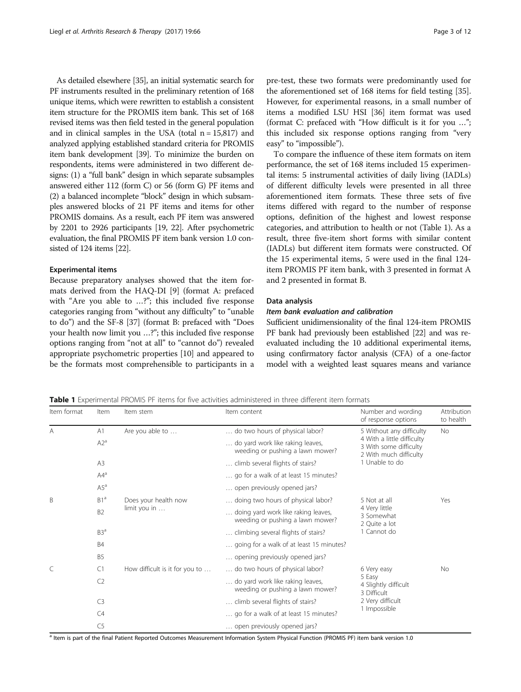As detailed elsewhere [[35](#page-12-0)], an initial systematic search for PF instruments resulted in the preliminary retention of 168 unique items, which were rewritten to establish a consistent item structure for the PROMIS item bank. This set of 168 revised items was then field tested in the general population and in clinical samples in the USA (total  $n = 15,817$ ) and analyzed applying established standard criteria for PROMIS item bank development [\[39\]](#page-12-0). To minimize the burden on respondents, items were administered in two different designs: (1) a "full bank" design in which separate subsamples answered either 112 (form C) or 56 (form G) PF items and (2) a balanced incomplete "block" design in which subsamples answered blocks of 21 PF items and items for other PROMIS domains. As a result, each PF item was answered by 2201 to 2926 participants [\[19, 22](#page-11-0)]. After psychometric evaluation, the final PROMIS PF item bank version 1.0 consisted of 124 items [\[22](#page-11-0)].

#### Experimental items

Because preparatory analyses showed that the item formats derived from the HAQ-DI [\[9](#page-11-0)] (format A: prefaced with "Are you able to …?"; this included five response categories ranging from "without any difficulty" to "unable to do") and the SF-8 [[37](#page-12-0)] (format B: prefaced with "Does your health now limit you …?"; this included five response options ranging from "not at all" to "cannot do") revealed appropriate psychometric properties [\[10\]](#page-11-0) and appeared to be the formats most comprehensible to participants in a pre-test, these two formats were predominantly used for the aforementioned set of 168 items for field testing [[35](#page-12-0)]. However, for experimental reasons, in a small number of items a modified LSU HSI [[36](#page-12-0)] item format was used (format C: prefaced with "How difficult is it for you …"; this included six response options ranging from "very easy" to "impossible").

To compare the influence of these item formats on item performance, the set of 168 items included 15 experimental items: 5 instrumental activities of daily living (IADLs) of different difficulty levels were presented in all three aforementioned item formats. These three sets of five items differed with regard to the number of response options, definition of the highest and lowest response categories, and attribution to health or not (Table 1). As a result, three five-item short forms with similar content (IADLs) but different item formats were constructed. Of the 15 experimental items, 5 were used in the final 124 item PROMIS PF item bank, with 3 presented in format A and 2 presented in format B.

#### Data analysis

#### Item bank evaluation and calibration

Sufficient unidimensionality of the final 124-item PROMIS PF bank had previously been established [[22](#page-11-0)] and was reevaluated including the 10 additional experimental items, using confirmatory factor analysis (CFA) of a one-factor model with a weighted least squares means and variance

Table 1 Experimental PROMIS PF items for five activities administered in three different item formats

| Item format | Item            | Item stem                            | Item content                                                            | Number and wording<br>of response options                                      | Attribution<br>to health |
|-------------|-----------------|--------------------------------------|-------------------------------------------------------------------------|--------------------------------------------------------------------------------|--------------------------|
| A           | A <sub>1</sub>  | Are you able to                      | do two hours of physical labor?                                         | 5 Without any difficulty                                                       | <b>No</b>                |
|             | A2 <sup>a</sup> |                                      | do yard work like raking leaves,<br>weeding or pushing a lawn mower?    | 4 With a little difficulty<br>3 With some difficulty<br>2 With much difficulty |                          |
|             | A <sub>3</sub>  |                                      | climb several flights of stairs?                                        | 1 Unable to do                                                                 |                          |
|             | $AA^a$          |                                      | go for a walk of at least 15 minutes?                                   |                                                                                |                          |
|             | AS <sup>a</sup> |                                      | open previously opened jars?                                            |                                                                                |                          |
| B           | B1 <sup>a</sup> | Does your health now<br>limit you in | doing two hours of physical labor?                                      | 5 Not at all                                                                   | Yes                      |
|             | B <sub>2</sub>  |                                      | doing yard work like raking leaves,<br>weeding or pushing a lawn mower? | 4 Very little<br>3 Somewhat<br>2 Quite a lot                                   |                          |
|             | B3 <sup>a</sup> |                                      | climbing several flights of stairs?                                     | 1 Cannot do                                                                    |                          |
|             | <b>B4</b>       |                                      | going for a walk of at least 15 minutes?                                |                                                                                |                          |
|             | <b>B5</b>       |                                      | opening previously opened jars?                                         |                                                                                |                          |
| $\subset$   | C1              | How difficult is it for you to       | do two hours of physical labor?                                         | 6 Very easy                                                                    | <b>No</b>                |
|             | C <sub>2</sub>  |                                      | do yard work like raking leaves,<br>weeding or pushing a lawn mower?    | 5 Easy<br>4 Slightly difficult<br>3 Difficult                                  |                          |
|             | C <sub>3</sub>  |                                      | climb several flights of stairs?                                        | 2 Very difficult                                                               |                          |
|             | C4              |                                      | go for a walk of at least 15 minutes?                                   | 1 Impossible                                                                   |                          |
|             | C <sub>5</sub>  |                                      | open previously opened jars?                                            |                                                                                |                          |

<sup>a</sup> Item is part of the final Patient Reported Outcomes Measurement Information System Physical Function (PROMIS PF) item bank version 1.0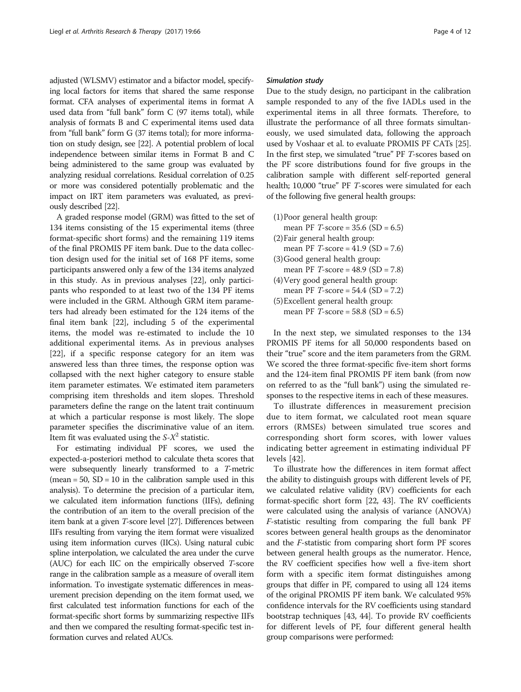adjusted (WLSMV) estimator and a bifactor model, specifying local factors for items that shared the same response format. CFA analyses of experimental items in format A used data from "full bank" form C (97 items total), while analysis of formats B and C experimental items used data from "full bank" form G (37 items total); for more information on study design, see [[22](#page-11-0)]. A potential problem of local independence between similar items in Format B and C being administered to the same group was evaluated by analyzing residual correlations. Residual correlation of 0.25 or more was considered potentially problematic and the impact on IRT item parameters was evaluated, as previously described [\[22\]](#page-11-0).

A graded response model (GRM) was fitted to the set of 134 items consisting of the 15 experimental items (three format-specific short forms) and the remaining 119 items of the final PROMIS PF item bank. Due to the data collection design used for the initial set of 168 PF items, some participants answered only a few of the 134 items analyzed in this study. As in previous analyses [\[22\]](#page-11-0), only participants who responded to at least two of the 134 PF items were included in the GRM. Although GRM item parameters had already been estimated for the 124 items of the final item bank [\[22\]](#page-11-0), including 5 of the experimental items, the model was re-estimated to include the 10 additional experimental items. As in previous analyses [[22](#page-11-0)], if a specific response category for an item was answered less than three times, the response option was collapsed with the next higher category to ensure stable item parameter estimates. We estimated item parameters comprising item thresholds and item slopes. Threshold parameters define the range on the latent trait continuum at which a particular response is most likely. The slope parameter specifies the discriminative value of an item. Item fit was evaluated using the  $S-X^2$  statistic.

For estimating individual PF scores, we used the expected-a-posteriori method to calculate theta scores that were subsequently linearly transformed to a T-metric  $(mean = 50, SD = 10)$  in the calibration sample used in this analysis). To determine the precision of a particular item, we calculated item information functions (IIFs), defining the contribution of an item to the overall precision of the item bank at a given T-score level [\[27\]](#page-12-0). Differences between IIFs resulting from varying the item format were visualized using item information curves (IICs). Using natural cubic spline interpolation, we calculated the area under the curve (AUC) for each IIC on the empirically observed T-score range in the calibration sample as a measure of overall item information. To investigate systematic differences in measurement precision depending on the item format used, we first calculated test information functions for each of the format-specific short forms by summarizing respective IIFs and then we compared the resulting format-specific test information curves and related AUCs.

#### Simulation study

Due to the study design, no participant in the calibration sample responded to any of the five IADLs used in the experimental items in all three formats. Therefore, to illustrate the performance of all three formats simultaneously, we used simulated data, following the approach used by Voshaar et al. to evaluate PROMIS PF CATs [[25](#page-12-0)]. In the first step, we simulated "true" PF T-scores based on the PF score distributions found for five groups in the calibration sample with different self-reported general health; 10,000 "true" PF T-scores were simulated for each of the following five general health groups:

- (1)Poor general health group: mean PF  $T$ -score = 35.6 (SD = 6.5)
- (2)Fair general health group: mean PF  $T\text{-score} = 41.9$  (SD = 7.6) (3)Good general health group:
- mean PF  $T$ -score = 48.9 (SD = 7.8)

(4)Very good general health group: mean PF  $T$ -score = 54.4 (SD = 7.2)

(5)Excellent general health group: mean PF  $T\text{-score} = 58.8$  (SD = 6.5)

In the next step, we simulated responses to the 134 PROMIS PF items for all 50,000 respondents based on their "true" score and the item parameters from the GRM. We scored the three format-specific five-item short forms and the 124-item final PROMIS PF item bank (from now on referred to as the "full bank") using the simulated responses to the respective items in each of these measures.

To illustrate differences in measurement precision due to item format, we calculated root mean square errors (RMSEs) between simulated true scores and corresponding short form scores, with lower values indicating better agreement in estimating individual PF levels [[42\]](#page-12-0).

To illustrate how the differences in item format affect the ability to distinguish groups with different levels of PF, we calculated relative validity (RV) coefficients for each format-specific short form [\[22,](#page-11-0) [43](#page-12-0)]. The RV coefficients were calculated using the analysis of variance (ANOVA) F-statistic resulting from comparing the full bank PF scores between general health groups as the denominator and the F-statistic from comparing short form PF scores between general health groups as the numerator. Hence, the RV coefficient specifies how well a five-item short form with a specific item format distinguishes among groups that differ in PF, compared to using all 124 items of the original PROMIS PF item bank. We calculated 95% confidence intervals for the RV coefficients using standard bootstrap techniques [\[43, 44](#page-12-0)]. To provide RV coefficients for different levels of PF, four different general health group comparisons were performed: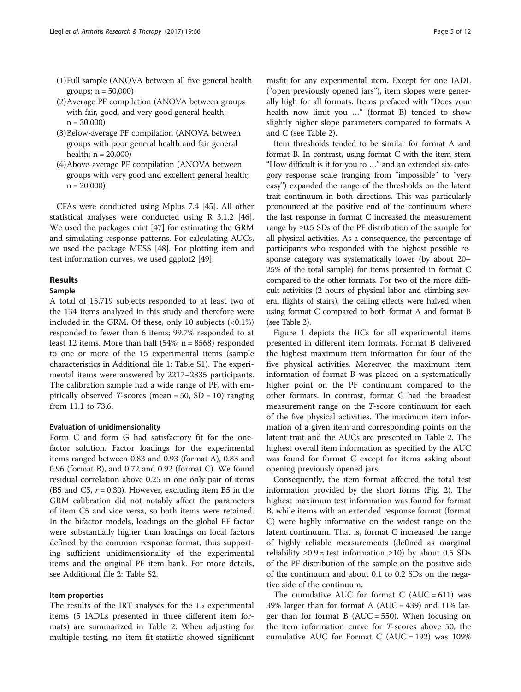- (1)Full sample (ANOVA between all five general health groups;  $n = 50,000$
- (2)Average PF compilation (ANOVA between groups with fair, good, and very good general health;  $n = 30,000$
- (3)Below-average PF compilation (ANOVA between groups with poor general health and fair general health;  $n = 20,000$
- (4)Above-average PF compilation (ANOVA between groups with very good and excellent general health;  $n = 20,000$

CFAs were conducted using Mplus 7.4 [\[45\]](#page-12-0). All other statistical analyses were conducted using R 3.1.2 [\[46](#page-12-0)]. We used the packages mirt [\[47](#page-12-0)] for estimating the GRM and simulating response patterns. For calculating AUCs, we used the package MESS [\[48\]](#page-12-0). For plotting item and test information curves, we used ggplot2 [[49](#page-12-0)].

#### Results

#### Sample

A total of 15,719 subjects responded to at least two of the 134 items analyzed in this study and therefore were included in the GRM. Of these, only 10 subjects  $\langle$ <0.1%) responded to fewer than 6 items; 99.7% responded to at least 12 items. More than half  $(54\%; n = 8568)$  responded to one or more of the 15 experimental items (sample characteristics in Additional file [1:](#page-10-0) Table S1). The experimental items were answered by 2217–2835 participants. The calibration sample had a wide range of PF, with empirically observed T-scores (mean  $= 50$ , SD  $= 10$ ) ranging from 11.1 to 73.6.

#### Evaluation of unidimensionality

Form C and form G had satisfactory fit for the onefactor solution. Factor loadings for the experimental items ranged between 0.83 and 0.93 (format A), 0.83 and 0.96 (format B), and 0.72 and 0.92 (format C). We found residual correlation above 0.25 in one only pair of items (B5 and C5,  $r = 0.30$ ). However, excluding item B5 in the GRM calibration did not notably affect the parameters of item C5 and vice versa, so both items were retained. In the bifactor models, loadings on the global PF factor were substantially higher than loadings on local factors defined by the common response format, thus supporting sufficient unidimensionality of the experimental items and the original PF item bank. For more details, see Additional file [2:](#page-10-0) Table S2.

#### Item properties

The results of the IRT analyses for the 15 experimental items (5 IADLs presented in three different item formats) are summarized in Table [2](#page-6-0). When adjusting for multiple testing, no item fit-statistic showed significant

misfit for any experimental item. Except for one IADL ("open previously opened jars"), item slopes were generally high for all formats. Items prefaced with "Does your health now limit you …" (format B) tended to show slightly higher slope parameters compared to formats A and C (see Table [2](#page-6-0)).

Item thresholds tended to be similar for format A and format B. In contrast, using format C with the item stem "How difficult is it for you to …" and an extended six-category response scale (ranging from "impossible" to "very easy") expanded the range of the thresholds on the latent trait continuum in both directions. This was particularly pronounced at the positive end of the continuum where the last response in format C increased the measurement range by ≥0.5 SDs of the PF distribution of the sample for all physical activities. As a consequence, the percentage of participants who responded with the highest possible response category was systematically lower (by about 20– 25% of the total sample) for items presented in format C compared to the other formats. For two of the more difficult activities (2 hours of physical labor and climbing several flights of stairs), the ceiling effects were halved when using format C compared to both format A and format B (see Table [2\)](#page-6-0).

Figure [1](#page-7-0) depicts the IICs for all experimental items presented in different item formats. Format B delivered the highest maximum item information for four of the five physical activities. Moreover, the maximum item information of format B was placed on a systematically higher point on the PF continuum compared to the other formats. In contrast, format C had the broadest measurement range on the T-score continuum for each of the five physical activities. The maximum item information of a given item and corresponding points on the latent trait and the AUCs are presented in Table [2.](#page-6-0) The highest overall item information as specified by the AUC was found for format C except for items asking about opening previously opened jars.

Consequently, the item format affected the total test information provided by the short forms (Fig. [2](#page-8-0)). The highest maximum test information was found for format B, while items with an extended response format (format C) were highly informative on the widest range on the latent continuum. That is, format C increased the range of highly reliable measurements (defined as marginal reliability ≥0.9  $\approx$  test information ≥10) by about 0.5 SDs of the PF distribution of the sample on the positive side of the continuum and about 0.1 to 0.2 SDs on the negative side of the continuum.

The cumulative AUC for format  $C$  (AUC = 611) was 39% larger than for format A  $(AUC = 439)$  and 11% larger than for format B ( $AUC = 550$ ). When focusing on the item information curve for T-scores above 50, the cumulative AUC for Format C (AUC = 192) was  $109\%$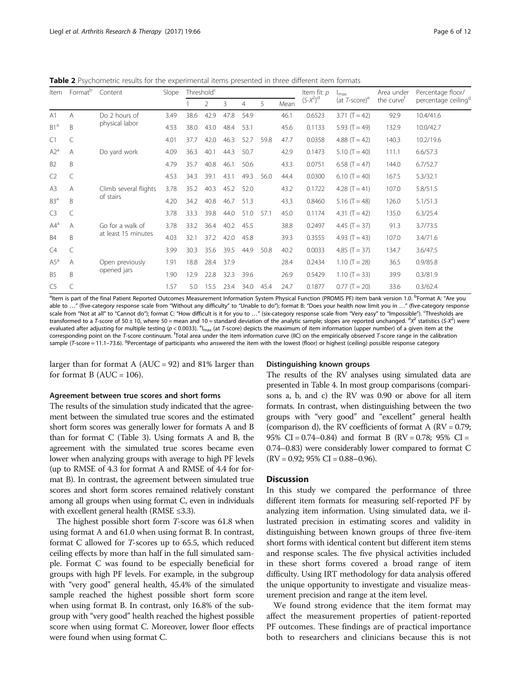<span id="page-6-0"></span>Table 2 Psychometric results for the experimental items presented in three different item formats

| Item            | Format <sup>b</sup> | Content               | Slope | Threshold <sup>c</sup> |               |      |                |      |      | Item fit: p | l <sub>max</sub>                    | Area under             | Percentage floor/               |
|-----------------|---------------------|-----------------------|-------|------------------------|---------------|------|----------------|------|------|-------------|-------------------------------------|------------------------|---------------------------------|
|                 |                     |                       |       |                        | $\mathcal{P}$ | 3    | $\overline{4}$ | 5    | Mean | $(S-X^2)^d$ | (at $T\text{-score}$ ) <sup>e</sup> | the curve <sup>t</sup> | percentage ceiling <sup>9</sup> |
| A <sub>1</sub>  | A                   | Do 2 hours of         | 3.49  | 38.6                   | 42.9          | 47.8 | 54.9           |      | 46.1 | 0.6523      | 3.71 $(T = 42)$                     | 92.9                   | 10.4/41.6                       |
| B1 <sup>a</sup> | B                   | physical labor        | 4.53  | 38.0                   | 43.0          | 48.4 | 53.1           |      | 45.6 | 0.1133      | 5.93 $(T = 49)$                     | 132.9                  | 10.0/42.7                       |
| C1              | C                   |                       | 4.01  | 37.7                   | 42.0          | 46.3 | 52.7           | 59.8 | 47.7 | 0.0358      | 4.88 $(T = 42)$                     | 140.3                  | 10.2/19.6                       |
| $A2^a$          | A                   | Do yard work          | 4.09  | 36.3                   | 40.1          | 44.3 | 50.7           |      | 42.9 | 0.1473      | 5.10 $(T = 40)$                     | 111.1                  | 6.6/57.3                        |
| <b>B2</b>       | B                   |                       | 4.79  | 35.7                   | 40.8          | 46.1 | 50.6           |      | 43.3 | 0.0751      | 6.58 $(T = 47)$                     | 144.0                  | 6.7/52.7                        |
| C <sub>2</sub>  | C                   |                       | 4.53  | 34.3                   | 39.1          | 43.1 | 49.3           | 56.0 | 44.4 | 0.0300      | 6.10 $(T = 40)$                     | 167.5                  | 5.3/32.1                        |
| A <sub>3</sub>  | A                   | Climb several flights | 3.78  | 35.2                   | 40.3          | 45.2 | 52.0           |      | 43.2 | 0.1722      | 4.28 $(T = 41)$                     | 107.0                  | 5.8/51.5                        |
| B3 <sup>a</sup> | B                   | of stairs             | 4.20  | 34.2                   | 40.8          | 46.7 | 51.3           |      | 43.3 | 0.8460      | 5.16 $(T = 48)$                     | 126.0                  | 5.1/51.3                        |
| C <sub>3</sub>  | C                   |                       | 3.78  | 33.3                   | 39.8          | 44.0 | 51.0           | 57.1 | 45.0 | 0.1174      | 4.31 $(T = 42)$                     | 135.0                  | 6.3/25.4                        |
| AA <sup>a</sup> | A                   | Go for a walk of      | 3.78  | 33.2                   | 36.4          | 40.2 | 45.5           |      | 38.8 | 0.2497      | 4.45 $(T = 37)$                     | 91.3                   | 3.7/73.5                        |
| B <sub>4</sub>  | B.                  | at least 15 minutes   | 4.03  | 32.1                   | 37.2          | 42.0 | 45.8           |      | 39.3 | 0.3555      | 4.93 $(T = 43)$                     | 107.0                  | 3.4/71.6                        |
| C4              | C                   |                       | 3.99  | 30.3                   | 35.6          | 39.5 | 44.9           | 50.8 | 40.2 | 0.0033      | 4.85 $(T = 37)$                     | 134.7                  | 3.6/47.5                        |
| AS <sup>a</sup> | A                   | Open previously       | 1.91  | 18.8                   | 28.4          | 37.9 |                |      | 28.4 | 0.2434      | 1.10 $(T = 28)$                     | 36.5                   | 0.9/85.8                        |
| B <sub>5</sub>  | B                   | opened jars           | 1.90  | 12.9                   | 22.8          | 32.3 | 39.6           |      | 26.9 | 0.5429      | 1.10 $(T = 33)$                     | 39.9                   | 0.3/81.9                        |
| C <sub>5</sub>  | C                   |                       | 1.57  | 5.0                    | 15.5          | 23.4 | 34.0           | 45.4 | 24.7 | 0.1877      | $0.77$ (T = 20)                     | 33.6                   | 0.3/62.4                        |

<sup>a</sup>ltem is part of the final Patient Reported Outcomes Measurement Information System Physical Function (PROMIS PF) item bank version 1.0. <sup>b</sup>Format A: "Are you able to …" (five-category response scale from "Without any difficulty" to "Unable to do"); format B: "Does your health now limit you in …" (five-category response scale from "Not at all" to "Cannot do"); format C: "How difficult is it for you to ..." (six-category response scale from "Very easy" to "Impossible"). 'Thresholds are transformed to a T-score of 50 ± 10, where 50 = mean and 10 = standard deviation of the analytic sample; slopes are reported unchanged. <sup>d</sup>X<sup>2</sup> statistics (S-X<sup>2</sup>) were evaluated after adjusting for multiple testing (p < 0.0033). <sup>e</sup>l<sub>max</sub> (at T-score) depicts the maximum of item information (upper number) of a given item at the corresponding point on the T-score continuum. Total area under the item information curve (IIC) on the empirically observed T-score range in the calibration sample (T-score = 11.1–73.6). <sup>g</sup>Percentage of participants who answered the item with the lowest (floor) or highest (ceiling) possible response category

larger than for format A  $(AUC = 92)$  and 81% larger than for format B ( $AUC = 106$ ).

#### Agreement between true scores and short forms

The results of the simulation study indicated that the agreement between the simulated true scores and the estimated short form scores was generally lower for formats A and B than for format C (Table [3](#page-9-0)). Using formats A and B, the agreement with the simulated true scores became even lower when analyzing groups with average to high PF levels (up to RMSE of 4.3 for format A and RMSE of 4.4 for format B). In contrast, the agreement between simulated true scores and short form scores remained relatively constant among all groups when using format C, even in individuals with excellent general health (RMSE  $\leq$ 3.3).

The highest possible short form T-score was 61.8 when using format A and 61.0 when using format B. In contrast, format C allowed for T-scores up to 65.5, which reduced ceiling effects by more than half in the full simulated sample. Format C was found to be especially beneficial for groups with high PF levels. For example, in the subgroup with "very good" general health, 45.4% of the simulated sample reached the highest possible short form score when using format B. In contrast, only 16.8% of the subgroup with "very good" health reached the highest possible score when using format C. Moreover, lower floor effects were found when using format C.

#### Distinguishing known groups

The results of the RV analyses using simulated data are presented in Table [4](#page-10-0). In most group comparisons (comparisons a, b, and c) the RV was 0.90 or above for all item formats. In contrast, when distinguishing between the two groups with "very good" and "excellent" general health (comparison d), the RV coefficients of format A  $(RV = 0.79$ ; 95% CI = 0.74–0.84) and format B (RV = 0.78; 95% CI = 0.74–0.83) were considerably lower compared to format C  $(RV = 0.92; 95\% CI = 0.88 - 0.96).$ 

#### **Discussion**

In this study we compared the performance of three different item formats for measuring self-reported PF by analyzing item information. Using simulated data, we illustrated precision in estimating scores and validity in distinguishing between known groups of three five-item short forms with identical content but different item stems and response scales. The five physical activities included in these short forms covered a broad range of item difficulty. Using IRT methodology for data analysis offered the unique opportunity to investigate and visualize measurement precision and range at the item level.

We found strong evidence that the item format may affect the measurement properties of patient-reported PF outcomes. These findings are of practical importance both to researchers and clinicians because this is not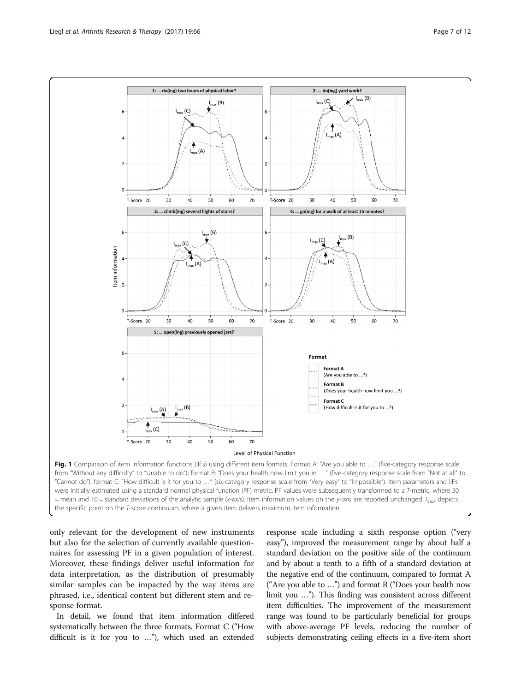<span id="page-7-0"></span>

only relevant for the development of new instruments but also for the selection of currently available questionnaires for assessing PF in a given population of interest. Moreover, these findings deliver useful information for data interpretation, as the distribution of presumably similar samples can be impacted by the way items are phrased, i.e., identical content but different stem and response format.

In detail, we found that item information differed systematically between the three formats. Format C ("How difficult is it for you to …"), which used an extended response scale including a sixth response option ("very easy"), improved the measurement range by about half a standard deviation on the positive side of the continuum and by about a tenth to a fifth of a standard deviation at the negative end of the continuum, compared to format A ("Are you able to …") and format B ("Does your health now limit you …"). This finding was consistent across different item difficulties. The improvement of the measurement range was found to be particularly beneficial for groups with above-average PF levels, reducing the number of subjects demonstrating ceiling effects in a five-item short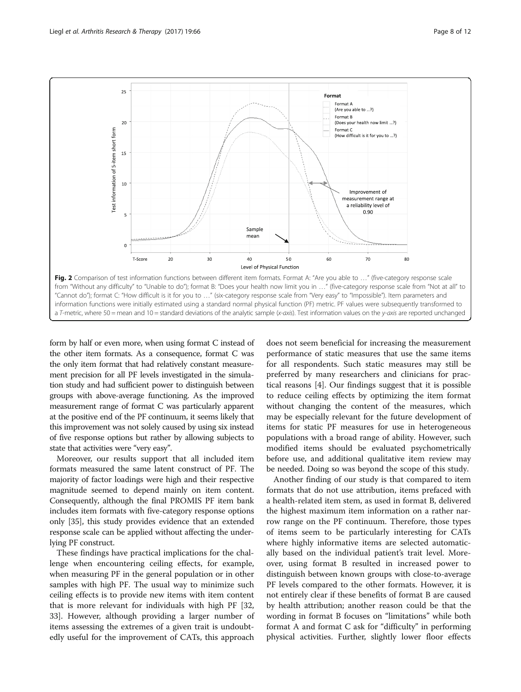<span id="page-8-0"></span>

form by half or even more, when using format C instead of the other item formats. As a consequence, format C was the only item format that had relatively constant measurement precision for all PF levels investigated in the simulation study and had sufficient power to distinguish between groups with above-average functioning. As the improved measurement range of format C was particularly apparent at the positive end of the PF continuum, it seems likely that this improvement was not solely caused by using six instead of five response options but rather by allowing subjects to state that activities were "very easy".

Moreover, our results support that all included item formats measured the same latent construct of PF. The majority of factor loadings were high and their respective magnitude seemed to depend mainly on item content. Consequently, although the final PROMIS PF item bank includes item formats with five-category response options only [\[35\]](#page-12-0), this study provides evidence that an extended response scale can be applied without affecting the underlying PF construct.

These findings have practical implications for the challenge when encountering ceiling effects, for example, when measuring PF in the general population or in other samples with high PF. The usual way to minimize such ceiling effects is to provide new items with item content that is more relevant for individuals with high PF [[32](#page-12-0), [33\]](#page-12-0). However, although providing a larger number of items assessing the extremes of a given trait is undoubtedly useful for the improvement of CATs, this approach does not seem beneficial for increasing the measurement performance of static measures that use the same items for all respondents. Such static measures may still be preferred by many researchers and clinicians for practical reasons [[4\]](#page-11-0). Our findings suggest that it is possible to reduce ceiling effects by optimizing the item format without changing the content of the measures, which may be especially relevant for the future development of items for static PF measures for use in heterogeneous populations with a broad range of ability. However, such modified items should be evaluated psychometrically before use, and additional qualitative item review may be needed. Doing so was beyond the scope of this study.

Another finding of our study is that compared to item formats that do not use attribution, items prefaced with a health-related item stem, as used in format B, delivered the highest maximum item information on a rather narrow range on the PF continuum. Therefore, those types of items seem to be particularly interesting for CATs where highly informative items are selected automatically based on the individual patient's trait level. Moreover, using format B resulted in increased power to distinguish between known groups with close-to-average PF levels compared to the other formats. However, it is not entirely clear if these benefits of format B are caused by health attribution; another reason could be that the wording in format B focuses on "limitations" while both format A and format C ask for "difficulty" in performing physical activities. Further, slightly lower floor effects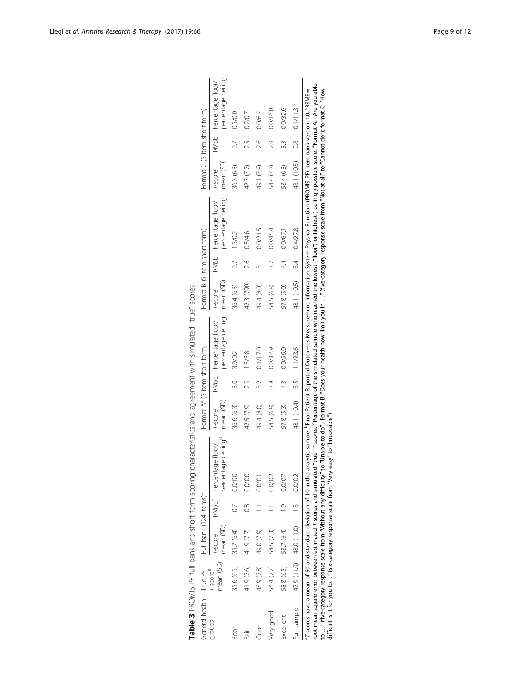<span id="page-9-0"></span>

| General health True PF |                                   | Full bank (124 items) <sup>p</sup>      |               |                                                                                                                                                                                                                                                                                                                                                                                                                                                                                                                                                                                                                                                                                                                                                                                             | Format A <sup>e</sup> (5-item short form) |     |                                                        | Format B (5-item short form) |               |                                              | Format $C$ (5-item short form) |    |                                              |
|------------------------|-----------------------------------|-----------------------------------------|---------------|---------------------------------------------------------------------------------------------------------------------------------------------------------------------------------------------------------------------------------------------------------------------------------------------------------------------------------------------------------------------------------------------------------------------------------------------------------------------------------------------------------------------------------------------------------------------------------------------------------------------------------------------------------------------------------------------------------------------------------------------------------------------------------------------|-------------------------------------------|-----|--------------------------------------------------------|------------------------------|---------------|----------------------------------------------|--------------------------------|----|----------------------------------------------|
| dionbs                 | mean (SD)<br>T-score <sup>a</sup> | mean (SD)<br>T-score                    |               | percentage ceiling <sup>d</sup><br>RMSE <sup>c</sup> Percentage floor/                                                                                                                                                                                                                                                                                                                                                                                                                                                                                                                                                                                                                                                                                                                      | mean (SD)<br>7-score                      |     | percentage ceiling mean (SD)<br>RMSE Percentage floor/ | T-score                      |               | percentage ceiling<br>RMSE Percentage floor/ | mean (SD)<br>T-score           |    | percentage ceiling<br>RMSE Percentage floor/ |
| Poor                   | 35.6 (6.5) 35.7 (6.4)             |                                         |               | 0.0/0.0                                                                                                                                                                                                                                                                                                                                                                                                                                                                                                                                                                                                                                                                                                                                                                                     | 36.6 (6.3)                                |     | 3.9/0.2                                                | 36.4 (6.3)                   |               | 1.5/0.2                                      | 36.3 (6.3)                     |    | 0.5/0.0                                      |
| ile∃                   | 41.9 (7.6)                        | 41.9 (7.7)                              | $\frac{8}{2}$ | 0.0/0.0                                                                                                                                                                                                                                                                                                                                                                                                                                                                                                                                                                                                                                                                                                                                                                                     | 42.5 (7.9)                                | 29  | 1.3/3.8                                                | 42.3 (790)                   | 2.6           | 0.5/4.6                                      | 42.3 (7.7)                     |    | 0.2/0.7                                      |
| Good                   | 48.9 (7.8)                        | 49.0 (7.9)                              |               | 0.0/0.1                                                                                                                                                                                                                                                                                                                                                                                                                                                                                                                                                                                                                                                                                                                                                                                     | 49.4 (8.0)                                | 3.2 | 0.1/17.0                                               | 49.4 (8.0)                   | $\frac{1}{3}$ | 0.0/21.5                                     | 49.1 (7.9)                     |    | 0.0/6.2                                      |
| Very good              | 54.4 (7.2)                        | 54.5 (7.3)                              |               | 0.0/0.2                                                                                                                                                                                                                                                                                                                                                                                                                                                                                                                                                                                                                                                                                                                                                                                     | 54.5 (6.9)                                | 38  | 0.0/37.9                                               | 54.5 (6.8)                   |               | 0.0/45.4                                     | 54.4 (7.3)                     | 29 | 0.0/16.8                                     |
| Excellent              | 58.8 (6.5)                        | 58.7 (6.4)                              | $\frac{0}{1}$ | 0.0/0.7                                                                                                                                                                                                                                                                                                                                                                                                                                                                                                                                                                                                                                                                                                                                                                                     | 57.8 (5.3)                                | 43  | 0.0/59.0                                               | 57.8 (5.0)                   | 44            | 0.0/67.1                                     | 58.4 (6.3)                     |    | 0.0/32.6                                     |
| Full sample            |                                   | 47.9 $(11.0)$ 48.0 $(11.0)$ 1.3 0.0/0.2 |               |                                                                                                                                                                                                                                                                                                                                                                                                                                                                                                                                                                                                                                                                                                                                                                                             | 48.1 (10.4) 3.5 1.1/23.6                  |     |                                                        | 48.1 (10.5) 3.4 0.4/27.8     |               |                                              | 48.1 (10.5) 2.8                |    | 0.1/11.3                                     |
|                        |                                   |                                         |               | root mean square error between estimated T-scores and simulated "true" T-scores. "Percentage of the simulated sample who reached the lowest ("floor") or highest ("celling") possible score. "Format A: "Are you able<br>to " (five-category response scale from "Without any difficulty" to "Unable to do"). Format B: "Does your health now limit you in " (five-category response scale from "Not at all" to "Cannot do"); format C: "How<br><sup>7</sup> F-scores have a mean of 50 and standard deviation of 10 in the analytic sample. <sup>P</sup> Final Patient Reported Outcomes Measurement Information System Physical Function (PROMIS PF) item bank version 1.0. 'RSME =<br>${\sf diff}$ cult is it for you to" (six-category response scale from "Very easy" to "Impossible") |                                           |     |                                                        |                              |               |                                              |                                |    |                                              |

| ን<br>J<br>I<br>i<br>j<br>I<br>j                           |
|-----------------------------------------------------------|
| J<br>5                                                    |
| l<br>į<br>in an international contract of                 |
| l                                                         |
| ant IN<br>ī,<br>Į<br>こくいいへい<br>j<br>j<br>J<br>j<br>١<br>j |
| ζ<br>ŗ<br>i<br>うり<br>i<br>ł<br>l<br>ز<br>d<br>i           |
| くくり<br>١<br>i<br>j                                        |
| こくしょう こうしゅう                                               |
| ۔<br>آ                                                    |
| j                                                         |
|                                                           |
|                                                           |
| $\frac{1}{1}$<br>١<br>5<br>$\frac{1}{\epsilon}$           |
| able<br>I                                                 |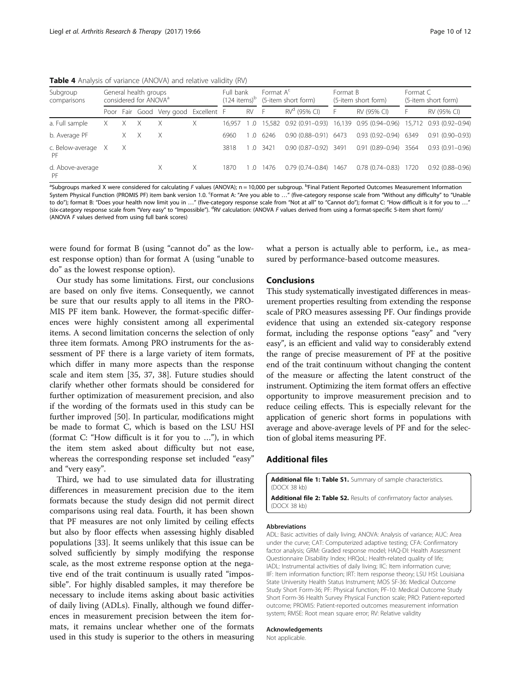<span id="page-10-0"></span>Table 4 Analysis of variance (ANOVA) and relative validity (RV)

| Subgroup<br>comparisons       |    |    | General health groups<br>considered for ANOVA <sup>a</sup> |                                      |    |        | Full bank<br>$(124$ items) <sup>b</sup> |      | Format $A^c$<br>(5-item short form) | Format B | (5-item short form)                                                         | Format C | (5-item short form) |
|-------------------------------|----|----|------------------------------------------------------------|--------------------------------------|----|--------|-----------------------------------------|------|-------------------------------------|----------|-----------------------------------------------------------------------------|----------|---------------------|
|                               |    |    |                                                            | Poor Fair Good Very good Excellent F |    |        | $RV$ F                                  |      | $RVd$ (95% CI)                      | F.       | RV (95% CI)                                                                 | F.       | RV (95% CI)         |
| a. Full sample                | х. | х  |                                                            | Х                                    | Χ  | 16.957 |                                         |      |                                     |          | 1.0 15,582 0.92 (0.91-0.93) 16,139 0.95 (0.94-0.96) 15,712 0.93 (0.92-0.94) |          |                     |
| b. Average PF                 |    | X. | X                                                          | X                                    |    | 6960   | $1_{\cdot}0$                            | 6246 | $0.90(0.88 - 0.91)$ 6473            |          | $0.93(0.92 - 0.94)$ 6349                                                    |          | $0.91(0.90 - 0.93)$ |
| c. Below-average<br>PF.       | X  | X  |                                                            |                                      |    | 3818   | 1.0                                     | 3421 | $0.90(0.87 - 0.92)$ 3491            |          | $0.91(0.89 - 0.94)$ 3564                                                    |          | $0.93(0.91 - 0.96)$ |
| d. Above-average<br><b>PF</b> |    |    |                                                            | Χ                                    | X. | 1870   | $1_{\cdot}0$                            | 1476 | 0.79 (0.74–0.84)                    | 1467     | $0.78(0.74 - 0.83)$ 1720                                                    |          | $0.92(0.88 - 0.96)$ |

<sup>a</sup>Subgroups marked X were considered for calculating F values (ANOVA); n = 10,000 per subgroup. <sup>b</sup>Final Patient Reported Outcomes Measurement Information System Physical Function (PROMIS PF) item bank version 1.0. <sup>c</sup>Format A: "Are you able to ..." (five-category response scale from "Without any difficulty" to "Unable to do"); format B: "Does your health now limit you in ..." (five-category response scale from "Not at all" to "Cannot do"); format C: "How difficult is it for you to ...' (six-category response scale from "Very easy" to "Impossible"). <sup>d</sup>RV calculation: (ANOVA F values derived from using a format-specific 5-item short form)/ (ANOVA F values derived from using full bank scores)

were found for format B (using "cannot do" as the lowest response option) than for format A (using "unable to do" as the lowest response option).

Our study has some limitations. First, our conclusions are based on only five items. Consequently, we cannot be sure that our results apply to all items in the PRO-MIS PF item bank. However, the format-specific differences were highly consistent among all experimental items. A second limitation concerns the selection of only three item formats. Among PRO instruments for the assessment of PF there is a large variety of item formats, which differ in many more aspects than the response scale and item stem [[35](#page-12-0), [37](#page-12-0), [38](#page-12-0)]. Future studies should clarify whether other formats should be considered for further optimization of measurement precision, and also if the wording of the formats used in this study can be further improved [[50](#page-12-0)]. In particular, modifications might be made to format C, which is based on the LSU HSI (format C: "How difficult is it for you to …"), in which the item stem asked about difficulty but not ease, whereas the corresponding response set included "easy" and "very easy".

Third, we had to use simulated data for illustrating differences in measurement precision due to the item formats because the study design did not permit direct comparisons using real data. Fourth, it has been shown that PF measures are not only limited by ceiling effects but also by floor effects when assessing highly disabled populations [\[33\]](#page-12-0). It seems unlikely that this issue can be solved sufficiently by simply modifying the response scale, as the most extreme response option at the negative end of the trait continuum is usually rated "impossible". For highly disabled samples, it may therefore be necessary to include items asking about basic activities of daily living (ADLs). Finally, although we found differences in measurement precision between the item formats, it remains unclear whether one of the formats used in this study is superior to the others in measuring

what a person is actually able to perform, i.e., as measured by performance-based outcome measures.

#### **Conclusions**

This study systematically investigated differences in measurement properties resulting from extending the response scale of PRO measures assessing PF. Our findings provide evidence that using an extended six-category response format, including the response options "easy" and "very easy", is an efficient and valid way to considerably extend the range of precise measurement of PF at the positive end of the trait continuum without changing the content of the measure or affecting the latent construct of the instrument. Optimizing the item format offers an effective opportunity to improve measurement precision and to reduce ceiling effects. This is especially relevant for the application of generic short forms in populations with average and above-average levels of PF and for the selection of global items measuring PF.

#### Additional files

[Additional file 1: Table S1.](dx.doi.org/10.1186/s13075-017-1273-5) Summary of sample characteristics. (DOCX 38 kb)

[Additional file 2: Table S2.](dx.doi.org/10.1186/s13075-017-1273-5) Results of confirmatory factor analyses. (DOCX 38 kb)

#### Abbreviations

ADL: Basic activities of daily living; ANOVA: Analysis of variance; AUC: Area under the curve; CAT: Computerized adaptive testing; CFA: Confirmatory factor analysis; GRM: Graded response model; HAQ-DI: Health Assessment Questionnaire Disability Index; HRQoL: Health-related quality of life; IADL: Instrumental activities of daily living; IIC: Item information curve; IIF: Item information function; IRT: Item response theory; LSU HSI: Louisiana State University Health Status Instrument; MOS SF-36: Medical Outcome Study Short Form-36; PF: Physical function; PF-10: Medical Outcome Study Short Form-36 Health Survey Physical Function scale; PRO: Patient-reported outcome; PROMIS: Patient-reported outcomes measurement information system; RMSE: Root mean square error; RV: Relative validity

#### Acknowledgements

Not applicable.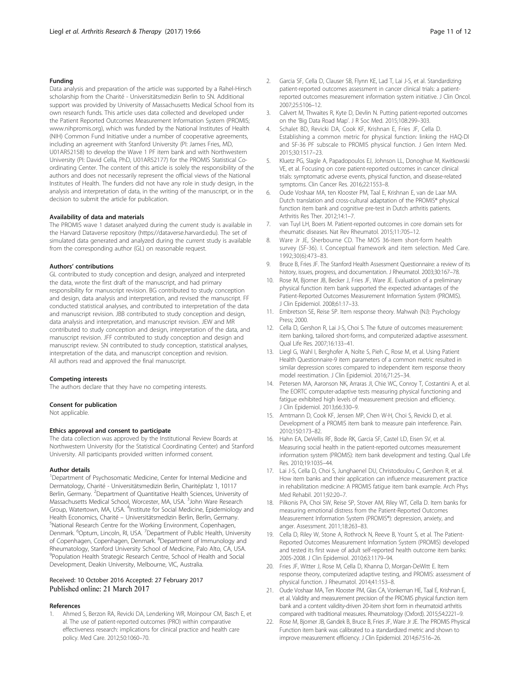#### <span id="page-11-0"></span>Funding

Data analysis and preparation of the article was supported by a Rahel-Hirsch scholarship from the Charité - Universitätsmedizin Berlin to SN. Additional support was provided by University of Massachusetts Medical School from its own research funds. This article uses data collected and developed under the Patient Reported Outcomes Measurement Information System (PROMIS; [www.nihpromis.org\)](http://www.nihpromis.org/), which was funded by the National Institutes of Health (NIH) Common Fund Initiative under a number of cooperative agreements, including an agreement with Stanford University (PI: James Fries, MD, U01AR52158) to develop the Wave 1 PF item bank and with Northwestern University (PI: David Cella, PhD, U01AR52177) for the PROMIS Statistical Coordinating Center. The content of this article is solely the responsibility of the authors and does not necessarily represent the official views of the National Institutes of Health. The funders did not have any role in study design, in the analysis and interpretation of data, in the writing of the manuscript, or in the decision to submit the article for publication.

#### Availability of data and materials

The PROMIS wave 1 dataset analyzed during the current study is available in the Harvard Dataverse repository ([https://dataverse.harvard.edu\)](https://dataverse.harvard.edu/). The set of simulated data generated and analyzed during the current study is available from the corresponding author (GL) on reasonable request.

#### Authors' contributions

GL contributed to study conception and design, analyzed and interpreted the data, wrote the first draft of the manuscript, and had primary responsibility for manuscript revision. BG contributed to study conception and design, data analysis and interpretation, and revised the manuscript. FF conducted statistical analyses, and contributed to interpretation of the data and manuscript revision. JBB contributed to study conception and design, data analysis and interpretation, and manuscript revision. JEW and MR contributed to study conception and design, interpretation of the data, and manuscript revision. JFF contributed to study conception and design and manuscript review. SN contributed to study conception, statistical analyses, interpretation of the data, and manuscript conception and revision. All authors read and approved the final manuscript.

#### Competing interests

The authors declare that they have no competing interests.

#### Consent for publication

Not applicable.

#### Ethics approval and consent to participate

The data collection was approved by the Institutional Review Boards at Northwestern University (for the Statistical Coordinating Center) and Stanford University. All participants provided written informed consent.

#### Author details

<sup>1</sup>Department of Psychosomatic Medicine, Center for Internal Medicine and Dermatology, Charité - Universitätsmedizin Berlin, Charitéplatz 1, 10117 Berlin, Germany. <sup>2</sup>Department of Quantitative Health Sciences, University of Massachusetts Medical School, Worcester, MA, USA. <sup>3</sup>John Ware Research Group, Watertown, MA, USA. <sup>4</sup>Institute for Social Medicine, Epidemiology and Health Economics, Charité – Universitätsmedizin Berlin, Berlin, Germany. <sup>5</sup> <sup>5</sup>National Research Centre for the Working Environment, Copenhagen, Denmark. <sup>6</sup>Optum, Lincoln, RI, USA. <sup>7</sup>Department of Public Health, University of Copenhagen, Copenhagen, Denmark. <sup>8</sup>Department of Immunology and Rheumatology, Stanford University School of Medicine, Palo Alto, CA, USA. 9 Population Health Strategic Research Centre, School of Health and Social Development, Deakin University, Melbourne, VIC, Australia.

#### Received: 10 October 2016 Accepted: 27 February 2017 Published online: 21 March 2017

#### References

1. Ahmed S, Berzon RA, Revicki DA, Lenderking WR, Moinpour CM, Basch E, et al. The use of patient-reported outcomes (PRO) within comparative effectiveness research: implications for clinical practice and health care policy. Med Care. 2012;50:1060–70.

- 2. Garcia SF, Cella D, Clauser SB, Flynn KE, Lad T, Lai J-S, et al. Standardizing patient-reported outcomes assessment in cancer clinical trials: a patientreported outcomes measurement information system initiative. J Clin Oncol. 2007;25:5106–12.
- 3. Calvert M, Thwaites R, Kyte D, Devlin N. Putting patient-reported outcomes on the 'Big Data Road Map'. J R Soc Med. 2015;108:299–303.
- 4. Schalet BD, Revicki DA, Cook KF, Krishnan E, Fries JF, Cella D. Establishing a common metric for physical function: linking the HAQ-DI and SF-36 PF subscale to PROMIS physical function. J Gen Intern Med. 2015;30:1517–23.
- 5. Kluetz PG, Slagle A, Papadopoulos EJ, Johnson LL, Donoghue M, Kwitkowski VE, et al. Focusing on core patient-reported outcomes in cancer clinical trials: symptomatic adverse events, physical function, and disease-related symptoms. Clin Cancer Res. 2016;22:1553–8.
- 6. Oude Voshaar MA, ten Klooster PM, Taal E, Krishnan E, van de Laar MA. Dutch translation and cross-cultural adaptation of the PROMIS® physical function item bank and cognitive pre-test in Dutch arthritis patients. Arthritis Res Ther. 2012;14:1–7.
- 7. van Tuyl LH, Boers M. Patient-reported outcomes in core domain sets for rheumatic diseases. Nat Rev Rheumatol. 2015;11:705–12.
- 8. Ware Jr JE, Sherbourne CD. The MOS 36-item short-form health survey (SF-36). I. Conceptual framework and item selection. Med Care. 1992;30(6):473–83.
- 9. Bruce B, Fries JF. The Stanford Health Assessment Questionnaire: a review of its history, issues, progress, and documentation. J Rheumatol. 2003;30:167–78.
- 10. Rose M, Bjorner JB, Becker J, Fries JF, Ware JE. Evaluation of a preliminary physical function item bank supported the expected advantages of the Patient-Reported Outcomes Measurement Information System (PROMIS). J Clin Epidemiol. 2008;61:17–33.
- 11. Embretson SE, Reise SP. Item response theory. Mahwah (NJ): Psychology Press; 2000.
- 12. Cella D, Gershon R, Lai J-S, Choi S. The future of outcomes measurement: item banking, tailored short-forms, and computerized adaptive assessment. Qual Life Res. 2007;16:133–41.
- 13. Liegl G, Wahl I, Berghofer A, Nolte S, Pieh C, Rose M, et al. Using Patient Health Questionnaire-9 item parameters of a common metric resulted in similar depression scores compared to independent item response theory model reestimation. J Clin Epidemiol. 2016;71:25–34.
- 14. Petersen MA, Aaronson NK, Arraras JI, Chie WC, Conroy T, Costantini A, et al. The EORTC computer-adaptive tests measuring physical functioning and fatigue exhibited high levels of measurement precision and efficiency. J Clin Epidemiol. 2013;66:330–9.
- 15. Amtmann D, Cook KF, Jensen MP, Chen W-H, Choi S, Revicki D, et al. Development of a PROMIS item bank to measure pain interference. Pain. 2010;150:173–82.
- 16. Hahn EA, DeVellis RF, Bode RK, Garcia SF, Castel LD, Eisen SV, et al. Measuring social health in the patient-reported outcomes measurement information system (PROMIS): item bank development and testing. Qual Life Res. 2010;19:1035–44.
- 17. Lai J-S, Cella D, Choi S, Junghaenel DU, Christodoulou C, Gershon R, et al. How item banks and their application can influence measurement practice in rehabilitation medicine: A PROMIS fatigue item bank example. Arch Phys Med Rehabil. 2011;92:20–7.
- 18. Pilkonis PA, Choi SW, Reise SP, Stover AM, Riley WT, Cella D. Item banks for measuring emotional distress from the Patient-Reported Outcomes Measurement Information System (PROMIS®): depression, anxiety, and anger. Assessment. 2011;18:263–83.
- 19. Cella D, Riley W, Stone A, Rothrock N, Reeve B, Yount S, et al. The Patient-Reported Outcomes Measurement Information System (PROMIS) developed and tested its first wave of adult self-reported health outcome item banks: 2005-2008. J Clin Epidemiol. 2010;63:1179–94.
- 20. Fries JF, Witter J, Rose M, Cella D, Khanna D, Morgan-DeWitt E. Item response theory, computerized adaptive testing, and PROMIS: assessment of physical function. J Rheumatol. 2014;41:153–8.
- 21. Oude Voshaar MA, Ten Klooster PM, Glas CA, Vonkeman HE, Taal E, Krishnan E, et al. Validity and measurement precision of the PROMIS physical function item bank and a content validity-driven 20-item short form in rheumatoid arthritis compared with traditional measures. Rheumatology (Oxford). 2015;54:2221–9.
- 22. Rose M, Bjorner JB, Gandek B, Bruce B, Fries JF, Ware Jr JE. The PROMIS Physical Function item bank was calibrated to a standardized metric and shown to improve measurement efficiency. J Clin Epidemiol. 2014;67:516–26.